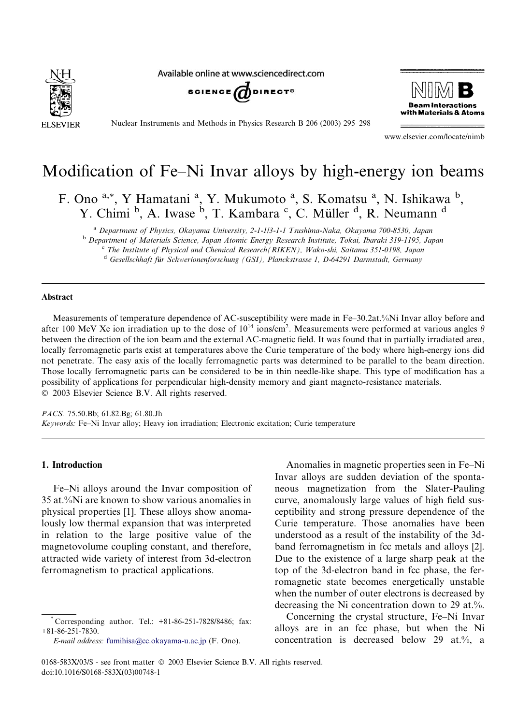

Available online at www.sciencedirect.com





Nuclear Instruments and Methods in Physics Research B 206 (2003) 295–298

www.elsevier.com/locate/nimb

# Modification of Fe–Ni Invar alloys by high-energy ion beams

F. Ono<sup>a,\*</sup>, Y Hamatani<sup>a</sup>, Y. Mukumoto<sup>a</sup>, S. Komatsu<sup>a</sup>, N. Ishikawa<sup>b</sup>, Y. Chimi <sup>b</sup>, A. Iwase <sup>b</sup>, T. Kambara <sup>c</sup>, C. Müller <sup>d</sup>, R. Neumann <sup>d</sup>

<sup>a</sup> Department of Physics, Okayama University, 2-1-113-1-1 Tsushima-Naka, Okayama 700-8530, Japan <sup>b</sup> Department of Materials Science, Japan Atomic Energy Research Institute, Tokai, Ibaraki 319-1195, Japan

<sup>c</sup> The Institute of Physical and Chemical Research(RIKEN), Wako-shi, Saitama 351-0198, Japan  $d$  Gesellschhaft für Schwerionenforschung (GSI), Planckstrasse 1, D-64291 Darmstadt, Germany

#### Abstract

Measurements of temperature dependence of AC-susceptibility were made in Fe–30.2at.%Ni Invar alloy before and after 100 MeV Xe ion irradiation up to the dose of  $10^{14}$  ions/cm<sup>2</sup>. Measurements were performed at various angles  $\theta$ between the direction of the ion beam and the external AC-magnetic field. It was found that in partially irradiated area, locally ferromagnetic parts exist at temperatures above the Curie temperature of the body where high-energy ions did not penetrate. The easy axis of the locally ferromagnetic parts was determined to be parallel to the beam direction. Those locally ferromagnetic parts can be considered to be in thin needle-like shape. This type of modification has a possibility of applications for perpendicular high-density memory and giant magneto-resistance materials. 2003 Elsevier Science B.V. All rights reserved.

PACS: 75.50.Bb; 61.82.Bg; 61.80.Jh Keywords: Fe–Ni Invar alloy; Heavy ion irradiation; Electronic excitation; Curie temperature

### 1. Introduction

Fe–Ni alloys around the Invar composition of 35 at.%Ni are known to show various anomalies in physical properties [1]. These alloys show anomalously low thermal expansion that was interpreted in relation to the large positive value of the magnetovolume coupling constant, and therefore, attracted wide variety of interest from 3d-electron ferromagnetism to practical applications.

E-mail address: [fumihisa@cc.okayama-u.ac.jp](mail to: fumihisa@cc.okayama-u.ac.jp) (F. Ono).

Anomalies in magnetic properties seen in Fe–Ni Invar alloys are sudden deviation of the spontaneous magnetization from the Slater-Pauling curve, anomalously large values of high field susceptibility and strong pressure dependence of the Curie temperature. Those anomalies have been understood as a result of the instability of the 3dband ferromagnetism in fcc metals and alloys [2]. Due to the existence of a large sharp peak at the top of the 3d-electron band in fcc phase, the ferromagnetic state becomes energetically unstable when the number of outer electrons is decreased by decreasing the Ni concentration down to 29 at.%.

Concerning the crystal structure, Fe–Ni Invar alloys are in an fcc phase, but when the Ni concentration is decreased below 29 at.%, a

Corresponding author. Tel.: +81-86-251-7828/8486; fax: +81-86-251-7830.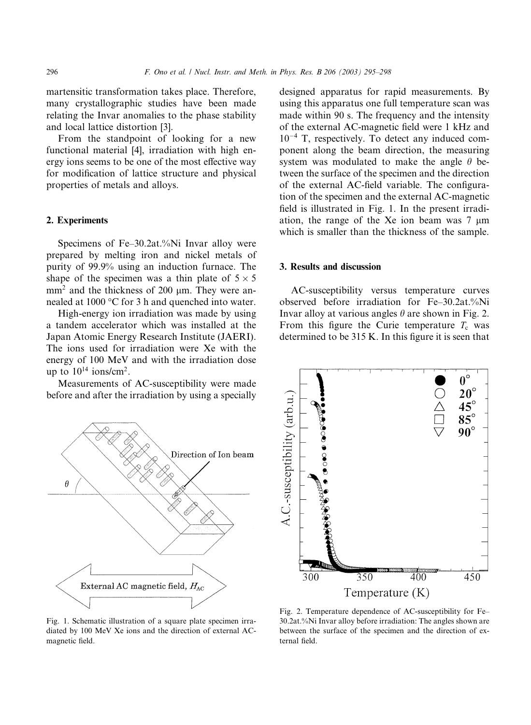martensitic transformation takes place. Therefore, many crystallographic studies have been made relating the Invar anomalies to the phase stability and local lattice distortion [3].

From the standpoint of looking for a new functional material [4], irradiation with high energy ions seems to be one of the most effective way for modification of lattice structure and physical properties of metals and alloys.

## 2. Experiments

Specimens of Fe–30.2at.%Ni Invar alloy were prepared by melting iron and nickel metals of purity of 99.9% using an induction furnace. The shape of the specimen was a thin plate of  $5 \times 5$  $mm<sup>2</sup>$  and the thickness of 200  $\mu$ m. They were annealed at  $1000$  °C for 3 h and quenched into water.

High-energy ion irradiation was made by using a tandem accelerator which was installed at the Japan Atomic Energy Research Institute (JAERI). The ions used for irradiation were Xe with the energy of 100 MeV and with the irradiation dose up to  $10^{14}$  ions/cm<sup>2</sup>.

Measurements of AC-susceptibility were made before and after the irradiation by using a specially



Fig. 1. Schematic illustration of a square plate specimen irradiated by 100 MeV Xe ions and the direction of external ACmagnetic field.

designed apparatus for rapid measurements. By using this apparatus one full temperature scan was made within 90 s. The frequency and the intensity of the external AC-magnetic field were 1 kHz and 10-<sup>4</sup> T, respectively. To detect any induced component along the beam direction, the measuring system was modulated to make the angle  $\theta$  between the surface of the specimen and the direction of the external AC-field variable. The configuration of the specimen and the external AC-magnetic field is illustrated in Fig. 1. In the present irradiation, the range of the Xe ion beam was  $7 \mu m$ which is smaller than the thickness of the sample.

#### 3. Results and discussion

AC-susceptibility versus temperature curves observed before irradiation for Fe–30.2at.%Ni Invar alloy at various angles  $\theta$  are shown in Fig. 2. From this figure the Curie temperature  $T_c$  was determined to be 315 K. In this figure it is seen that



Fig. 2. Temperature dependence of AC-susceptibility for Fe– 30.2at.%Ni Invar alloy before irradiation: The angles shown are between the surface of the specimen and the direction of external field.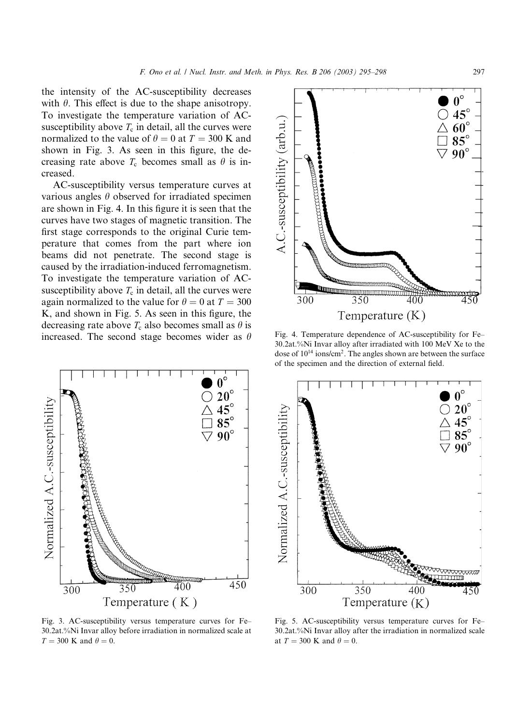the intensity of the AC-susceptibility decreases with  $\theta$ . This effect is due to the shape anisotropy. To investigate the temperature variation of ACsusceptibility above  $T_c$  in detail, all the curves were normalized to the value of  $\theta = 0$  at  $T = 300$  K and shown in Fig. 3. As seen in this figure, the decreasing rate above  $T_c$  becomes small as  $\theta$  is increased.

AC-susceptibility versus temperature curves at various angles  $\theta$  observed for irradiated specimen are shown in Fig. 4. In this figure it is seen that the curves have two stages of magnetic transition. The first stage corresponds to the original Curie temperature that comes from the part where ion beams did not penetrate. The second stage is caused by the irradiation-induced ferromagnetism. To investigate the temperature variation of ACsusceptibility above  $T_c$  in detail, all the curves were again normalized to the value for  $\theta = 0$  at  $T = 300$ K, and shown in Fig. 5. As seen in this figure, the decreasing rate above  $T_c$  also becomes small as  $\theta$  is increased. The second stage becomes wider as  $\theta$ 



Fig. 3. AC-susceptibility versus temperature curves for Fe– 30.2at.%Ni Invar alloy before irradiation in normalized scale at  $T = 300$  K and  $\theta = 0$ .



Fig. 4. Temperature dependence of AC-susceptibility for Fe– 30.2at.%Ni Invar alloy after irradiated with 100 MeV Xe to the dose of 1014 ions/cm2. The angles shown are between the surface of the specimen and the direction of external field.



Fig. 5. AC-susceptibility versus temperature curves for Fe– 30.2at.%Ni Invar alloy after the irradiation in normalized scale at  $T = 300$  K and  $\theta = 0$ .